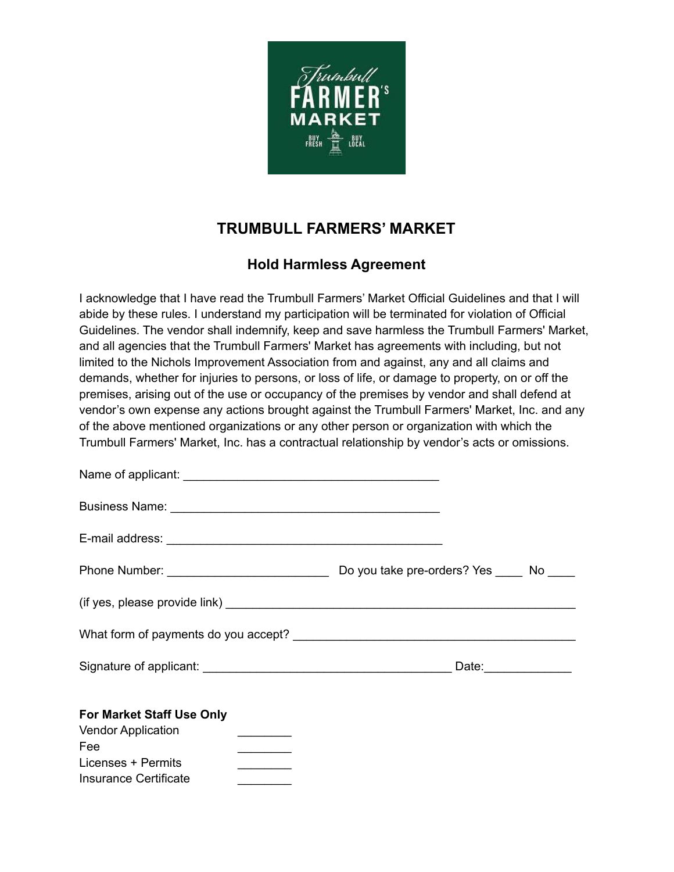

## **TRUMBULL FARMERS' MARKET**

## **Hold Harmless Agreement**

I acknowledge that I have read the Trumbull Farmers' Market Official Guidelines and that I will abide by these rules. I understand my participation will be terminated for violation of Official Guidelines. The vendor shall indemnify, keep and save harmless the Trumbull Farmers' Market, and all agencies that the Trumbull Farmers' Market has agreements with including, but not limited to the Nichols Improvement Association from and against, any and all claims and demands, whether for injuries to persons, or loss of life, or damage to property, on or off the premises, arising out of the use or occupancy of the premises by vendor and shall defend at vendor's own expense any actions brought against the Trumbull Farmers' Market, Inc. and any of the above mentioned organizations or any other person or organization with which the Trumbull Farmers' Market, Inc. has a contractual relationship by vendor's acts or omissions.

| For Market Staff Use Only<br><b>Vendor Application</b><br>Fee<br><u> a shekara ta 1999 a shekara t</u> |  |
|--------------------------------------------------------------------------------------------------------|--|
| <u> 1986 - Alban III, politik politik (</u><br>Licenses + Permits<br>Insurance Certificate             |  |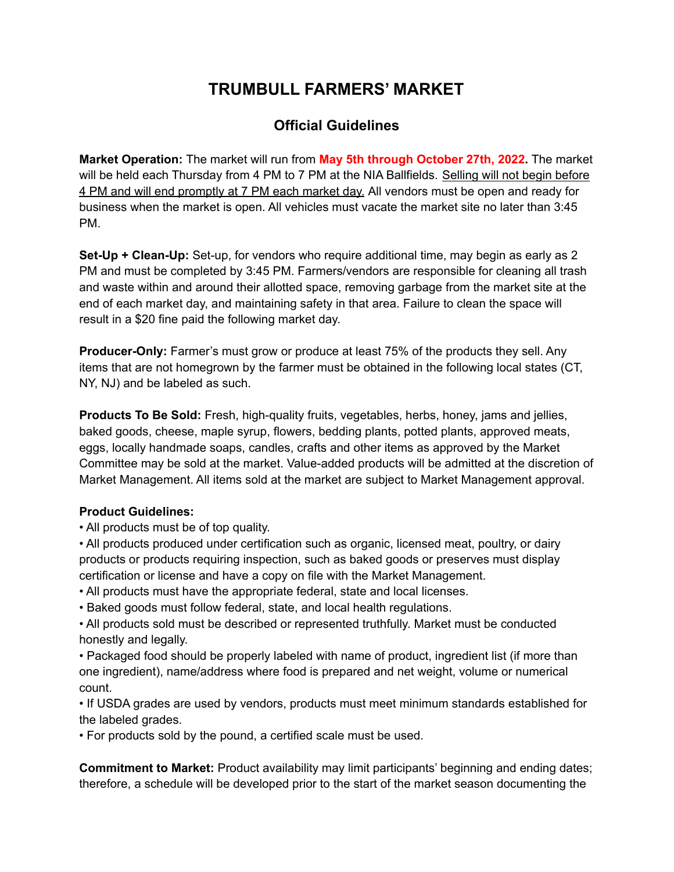# **TRUMBULL FARMERS' MARKET**

### **Official Guidelines**

**Market Operation:** The market will run from **May 5th through October 27th, 2022.** The market will be held each Thursday from 4 PM to 7 PM at the NIA Ballfields. Selling will not begin before 4 PM and will end promptly at 7 PM each market day. All vendors must be open and ready for business when the market is open. All vehicles must vacate the market site no later than 3:45 PM.

**Set-Up + Clean-Up:** Set-up, for vendors who require additional time, may begin as early as 2 PM and must be completed by 3:45 PM. Farmers/vendors are responsible for cleaning all trash and waste within and around their allotted space, removing garbage from the market site at the end of each market day, and maintaining safety in that area. Failure to clean the space will result in a \$20 fine paid the following market day.

**Producer-Only:** Farmer's must grow or produce at least 75% of the products they sell. Any items that are not homegrown by the farmer must be obtained in the following local states (CT, NY, NJ) and be labeled as such.

**Products To Be Sold:** Fresh, high-quality fruits, vegetables, herbs, honey, jams and jellies, baked goods, cheese, maple syrup, flowers, bedding plants, potted plants, approved meats, eggs, locally handmade soaps, candles, crafts and other items as approved by the Market Committee may be sold at the market. Value-added products will be admitted at the discretion of Market Management. All items sold at the market are subject to Market Management approval.

### **Product Guidelines:**

- All products must be of top quality.
- All products produced under certification such as organic, licensed meat, poultry, or dairy products or products requiring inspection, such as baked goods or preserves must display certification or license and have a copy on file with the Market Management.
- All products must have the appropriate federal, state and local licenses.
- Baked goods must follow federal, state, and local health regulations.
- All products sold must be described or represented truthfully. Market must be conducted honestly and legally.
- Packaged food should be properly labeled with name of product, ingredient list (if more than one ingredient), name/address where food is prepared and net weight, volume or numerical count.
- If USDA grades are used by vendors, products must meet minimum standards established for the labeled grades.
- For products sold by the pound, a certified scale must be used.

**Commitment to Market:** Product availability may limit participants' beginning and ending dates; therefore, a schedule will be developed prior to the start of the market season documenting the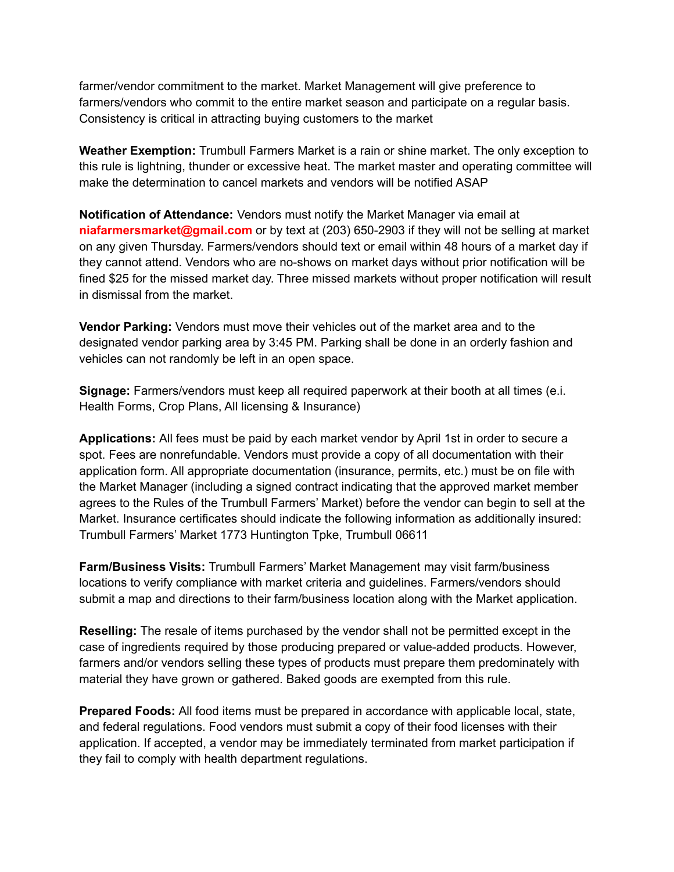farmer/vendor commitment to the market. Market Management will give preference to farmers/vendors who commit to the entire market season and participate on a regular basis. Consistency is critical in attracting buying customers to the market

**Weather Exemption:** Trumbull Farmers Market is a rain or shine market. The only exception to this rule is lightning, thunder or excessive heat. The market master and operating committee will make the determination to cancel markets and vendors will be notified ASAP

**Notification of Attendance:** Vendors must notify the Market Manager via email at **niafarmersmarket@gmail.com** or by text at (203) 650-2903 if they will not be selling at market on any given Thursday. Farmers/vendors should text or email within 48 hours of a market day if they cannot attend. Vendors who are no-shows on market days without prior notification will be fined \$25 for the missed market day. Three missed markets without proper notification will result in dismissal from the market.

**Vendor Parking:** Vendors must move their vehicles out of the market area and to the designated vendor parking area by 3:45 PM. Parking shall be done in an orderly fashion and vehicles can not randomly be left in an open space.

**Signage:** Farmers/vendors must keep all required paperwork at their booth at all times (e.i. Health Forms, Crop Plans, All licensing & Insurance)

**Applications:** All fees must be paid by each market vendor by April 1st in order to secure a spot. Fees are nonrefundable. Vendors must provide a copy of all documentation with their application form. All appropriate documentation (insurance, permits, etc.) must be on file with the Market Manager (including a signed contract indicating that the approved market member agrees to the Rules of the Trumbull Farmers' Market) before the vendor can begin to sell at the Market. Insurance certificates should indicate the following information as additionally insured: Trumbull Farmers' Market 1773 Huntington Tpke, Trumbull 06611

**Farm/Business Visits:** Trumbull Farmers' Market Management may visit farm/business locations to verify compliance with market criteria and guidelines. Farmers/vendors should submit a map and directions to their farm/business location along with the Market application.

**Reselling:** The resale of items purchased by the vendor shall not be permitted except in the case of ingredients required by those producing prepared or value-added products. However, farmers and/or vendors selling these types of products must prepare them predominately with material they have grown or gathered. Baked goods are exempted from this rule.

**Prepared Foods:** All food items must be prepared in accordance with applicable local, state, and federal regulations. Food vendors must submit a copy of their food licenses with their application. If accepted, a vendor may be immediately terminated from market participation if they fail to comply with health department regulations.